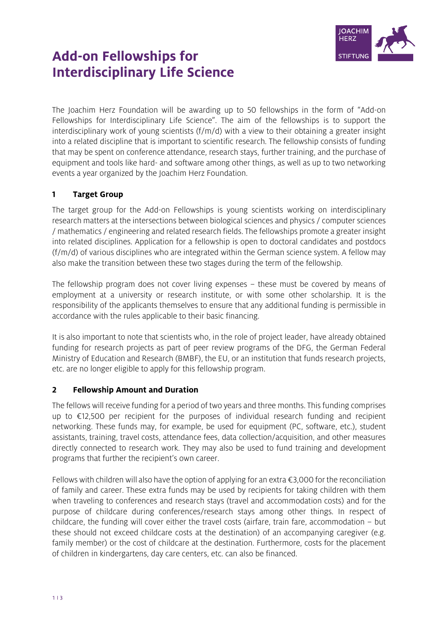

# **Add-on Fellowships for Interdisciplinary Life Science**

The Joachim Herz Foundation will be awarding up to 50 fellowships in the form of "Add-on Fellowships for Interdisciplinary Life Science". The aim of the fellowships is to support the interdisciplinary work of young scientists (f/m/d) with a view to their obtaining a greater insight into a related discipline that is important to scientific research. The fellowship consists of funding that may be spent on conference attendance, research stays, further training, and the purchase of equipment and tools like hard- and software among other things, as well as up to two networking events a year organized by the Joachim Herz Foundation.

# $\mathbf{1}$ **Target Group**

The target group for the Add-on Fellowships is young scientists working on interdisciplinary research matters at the intersections between biological sciences and physics / computer sciences / mathematics / engineering and related research fields. The fellowships promote a greater insight into related disciplines. Application for a fellowship is open to doctoral candidates and postdocs (f/m/d) of various disciplines who are integrated within the German science system. A fellow may also make the transition between these two stages during the term of the fellowship.

The fellowship program does not cover living expenses – these must be covered by means of employment at a university or research institute, or with some other scholarship. It is the responsibility of the applicants themselves to ensure that any additional funding is permissible in accordance with the rules applicable to their basic financing.

It is also important to note that scientists who, in the role of project leader, have already obtained funding for research projects as part of peer review programs of the DFG, the German Federal Ministry of Education and Research (BMBF), the EU, or an institution that funds research projects, etc. are no longer eligible to apply for this fellowship program.

## $\overline{2}$ **Fellowship Amount and Duration**

The fellows will receive funding for a period of two years and three months. This funding comprises up to €12,500 per recipient for the purposes of individual research funding and recipient networking. These funds may, for example, be used for equipment (PC, software, etc.), student assistants, training, travel costs, attendance fees, data collection/acquisition, and other measures directly connected to research work. They may also be used to fund training and development programs that further the recipient's own career.

Fellows with children will also have the option of applying for an extra €3,000 for the reconciliation of family and career. These extra funds may be used by recipients for taking children with them when traveling to conferences and research stays (travel and accommodation costs) and for the purpose of childcare during conferences/research stays among other things. In respect of childcare, the funding will cover either the travel costs (airfare, train fare, accommodation – but these should not exceed childcare costs at the destination) of an accompanying caregiver (e.g. family member) or the cost of childcare at the destination. Furthermore, costs for the placement of children in kindergartens, day care centers, etc. can also be financed.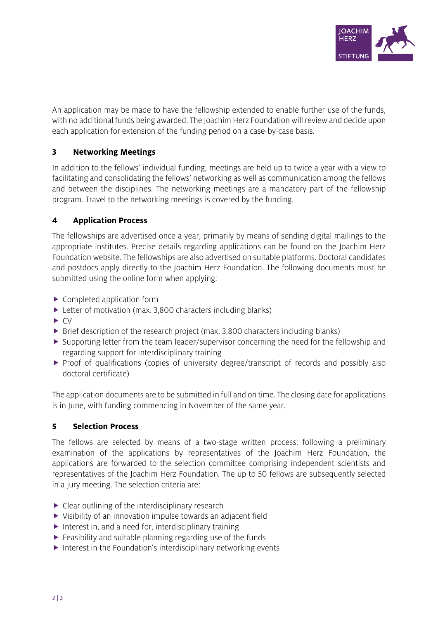

An application may be made to have the fellowship extended to enable further use of the funds, with no additional funds being awarded. The Joachim Herz Foundation will review and decide upon each application for extension of the funding period on a case-by-case basis.

## $\overline{\mathbf{3}}$ **Networking Meetings**

In addition to the fellows' individual funding, meetings are held up to twice a year with a view to facilitating and consolidating the fellows' networking as well as communication among the fellows and between the disciplines. The networking meetings are a mandatory part of the fellowship program. Travel to the networking meetings is covered by the funding.

#### $\overline{\mathbf{4}}$ **Application Process**

The fellowships are advertised once a year, primarily by means of sending digital mailings to the appropriate institutes. Precise details regarding applications can be found on the Joachim Herz Foundation website. The fellowships are also advertised on suitable platforms. Doctoral candidates and postdocs apply directly to the Joachim Herz Foundation. The following documents must be submitted using the online form when applying:

- ▶ Completed application form
- ▶ Letter of motivation (max. 3,800 characters including blanks)
- $\blacktriangleright$  CV
- ▶ Brief description of the research project (max. 3,800 characters including blanks)
- $\triangleright$  Supporting letter from the team leader/supervisor concerning the need for the fellowship and regarding support for interdisciplinary training
- Proof of qualifications (copies of university degree/transcript of records and possibly also doctoral certificate)

The application documents are to be submitted in full and on time. The closing date for applications is in June, with funding commencing in November of the same year.

#### 5 **Selection Process**

The fellows are selected by means of a two-stage written process: following a preliminary examination of the applications by representatives of the Joachim Herz Foundation, the applications are forwarded to the selection committee comprising independent scientists and representatives of the Joachim Herz Foundation. The up to 50 fellows are subsequently selected in a jury meeting. The selection criteria are:

- ▶ Clear outlining of the interdisciplinary research
- Visibility of an innovation impulse towards an adjacent field
- Interest in, and a need for, interdisciplinary training
- $\blacktriangleright$  Feasibility and suitable planning regarding use of the funds
- $\triangleright$  Interest in the Foundation's interdisciplinary networking events